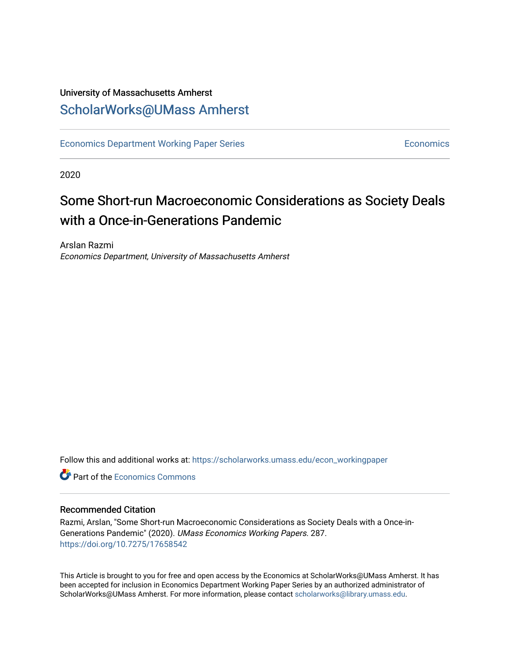# University of Massachusetts Amherst [ScholarWorks@UMass Amherst](https://scholarworks.umass.edu/)

[Economics Department Working Paper Series](https://scholarworks.umass.edu/econ_workingpaper) **Economics** Economics

2020

# Some Short-run Macroeconomic Considerations as Society Deals with a Once-in-Generations Pandemic

Arslan Razmi Economics Department, University of Massachusetts Amherst

Follow this and additional works at: [https://scholarworks.umass.edu/econ\\_workingpaper](https://scholarworks.umass.edu/econ_workingpaper?utm_source=scholarworks.umass.edu%2Fecon_workingpaper%2F287&utm_medium=PDF&utm_campaign=PDFCoverPages) 

**C** Part of the [Economics Commons](http://network.bepress.com/hgg/discipline/340?utm_source=scholarworks.umass.edu%2Fecon_workingpaper%2F287&utm_medium=PDF&utm_campaign=PDFCoverPages)

#### Recommended Citation

Razmi, Arslan, "Some Short-run Macroeconomic Considerations as Society Deals with a Once-in-Generations Pandemic" (2020). UMass Economics Working Papers. 287. <https://doi.org/10.7275/17658542>

This Article is brought to you for free and open access by the Economics at ScholarWorks@UMass Amherst. It has been accepted for inclusion in Economics Department Working Paper Series by an authorized administrator of ScholarWorks@UMass Amherst. For more information, please contact [scholarworks@library.umass.edu.](mailto:scholarworks@library.umass.edu)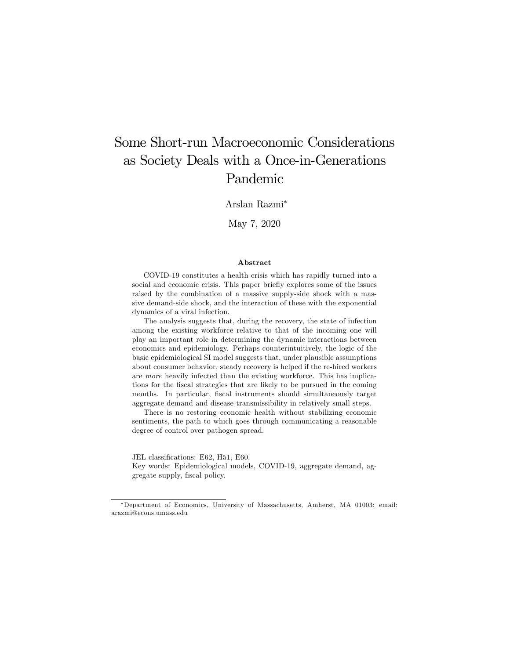# Some Short-run Macroeconomic Considerations as Society Deals with a Once-in-Generations Pandemic

Arslan Razmi

May 7, 2020

#### Abstract

COVID-19 constitutes a health crisis which has rapidly turned into a social and economic crisis. This paper briefly explores some of the issues raised by the combination of a massive supply-side shock with a massive demand-side shock, and the interaction of these with the exponential dynamics of a viral infection.

The analysis suggests that, during the recovery, the state of infection among the existing workforce relative to that of the incoming one will play an important role in determining the dynamic interactions between economics and epidemiology. Perhaps counterintuitively, the logic of the basic epidemiological SI model suggests that, under plausible assumptions about consumer behavior, steady recovery is helped if the re-hired workers are more heavily infected than the existing workforce. This has implications for the fiscal strategies that are likely to be pursued in the coming months. In particular, fiscal instruments should simultaneously target aggregate demand and disease transmissibility in relatively small steps.

There is no restoring economic health without stabilizing economic sentiments, the path to which goes through communicating a reasonable degree of control over pathogen spread.

JEL classifications: E62, H51, E60.

Key words: Epidemiological models, COVID-19, aggregate demand, aggregate supply, fiscal policy.

Department of Economics, University of Massachusetts, Amherst, MA 01003; email: arazmi@econs.umass.edu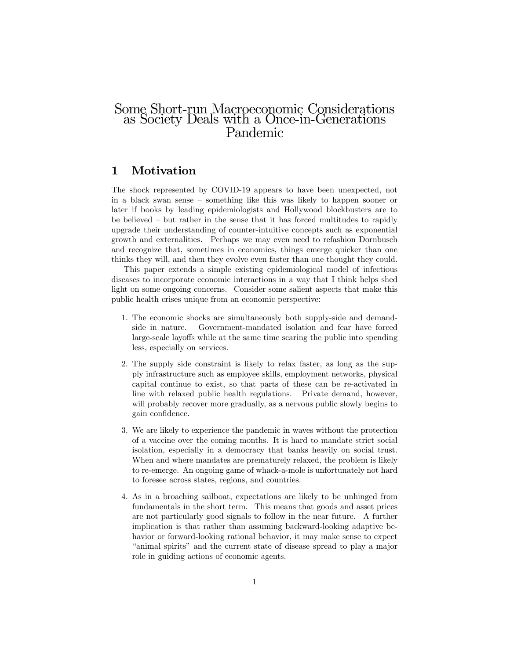# Some Short-run Macroeconomic Considerations as Society Deals with a Once-in-Generations Pandemic

### 1 Motivation

The shock represented by COVID-19 appears to have been unexpected, not in a black swan sense  $\sim$  something like this was likely to happen sooner or later if books by leading epidemiologists and Hollywood blockbusters are to be believed  $-$  but rather in the sense that it has forced multitudes to rapidly upgrade their understanding of counter-intuitive concepts such as exponential growth and externalities. Perhaps we may even need to refashion Dornbusch and recognize that, sometimes in economics, things emerge quicker than one thinks they will, and then they evolve even faster than one thought they could.

This paper extends a simple existing epidemiological model of infectious diseases to incorporate economic interactions in a way that I think helps shed light on some ongoing concerns. Consider some salient aspects that make this public health crises unique from an economic perspective:

- 1. The economic shocks are simultaneously both supply-side and demandside in nature. Government-mandated isolation and fear have forced large-scale layoffs while at the same time scaring the public into spending less, especially on services.
- 2. The supply side constraint is likely to relax faster, as long as the supply infrastructure such as employee skills, employment networks, physical capital continue to exist, so that parts of these can be re-activated in line with relaxed public health regulations. Private demand, however, will probably recover more gradually, as a nervous public slowly begins to gain confidence.
- 3. We are likely to experience the pandemic in waves without the protection of a vaccine over the coming months. It is hard to mandate strict social isolation, especially in a democracy that banks heavily on social trust. When and where mandates are prematurely relaxed, the problem is likely to re-emerge. An ongoing game of whack-a-mole is unfortunately not hard to foresee across states, regions, and countries.
- 4. As in a broaching sailboat, expectations are likely to be unhinged from fundamentals in the short term. This means that goods and asset prices are not particularly good signals to follow in the near future. A further implication is that rather than assuming backward-looking adaptive behavior or forward-looking rational behavior, it may make sense to expect ìanimal spiritsî and the current state of disease spread to play a major role in guiding actions of economic agents.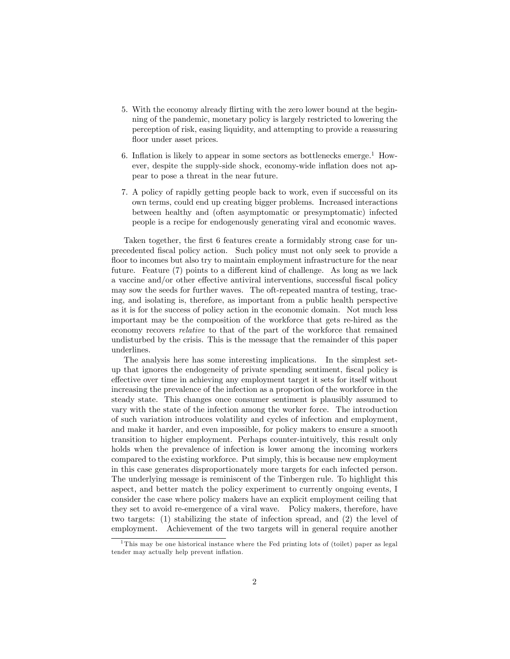- 5. With the economy already áirting with the zero lower bound at the beginning of the pandemic, monetary policy is largely restricted to lowering the perception of risk, easing liquidity, and attempting to provide a reassuring floor under asset prices.
- 6. Inflation is likely to appear in some sectors as bottlenecks emerge.<sup>1</sup> However, despite the supply-side shock, economy-wide inflation does not appear to pose a threat in the near future.
- 7. A policy of rapidly getting people back to work, even if successful on its own terms, could end up creating bigger problems. Increased interactions between healthy and (often asymptomatic or presymptomatic) infected people is a recipe for endogenously generating viral and economic waves.

Taken together, the first 6 features create a formidably strong case for unprecedented Öscal policy action. Such policy must not only seek to provide a floor to incomes but also try to maintain employment infrastructure for the near future. Feature  $(7)$  points to a different kind of challenge. As long as we lack a vaccine and/or other effective antiviral interventions, successful fiscal policy may sow the seeds for further waves. The oft-repeated mantra of testing, tracing, and isolating is, therefore, as important from a public health perspective as it is for the success of policy action in the economic domain. Not much less important may be the composition of the workforce that gets re-hired as the economy recovers relative to that of the part of the workforce that remained undisturbed by the crisis. This is the message that the remainder of this paper underlines.

The analysis here has some interesting implications. In the simplest setup that ignores the endogeneity of private spending sentiment, fiscal policy is effective over time in achieving any employment target it sets for itself without increasing the prevalence of the infection as a proportion of the workforce in the steady state. This changes once consumer sentiment is plausibly assumed to vary with the state of the infection among the worker force. The introduction of such variation introduces volatility and cycles of infection and employment, and make it harder, and even impossible, for policy makers to ensure a smooth transition to higher employment. Perhaps counter-intuitively, this result only holds when the prevalence of infection is lower among the incoming workers compared to the existing workforce. Put simply, this is because new employment in this case generates disproportionately more targets for each infected person. The underlying message is reminiscent of the Tinbergen rule. To highlight this aspect, and better match the policy experiment to currently ongoing events, I consider the case where policy makers have an explicit employment ceiling that they set to avoid re-emergence of a viral wave. Policy makers, therefore, have two targets: (1) stabilizing the state of infection spread, and (2) the level of employment. Achievement of the two targets will in general require another

<sup>&</sup>lt;sup>1</sup>This may be one historical instance where the Fed printing lots of (toilet) paper as legal tender may actually help prevent inflation.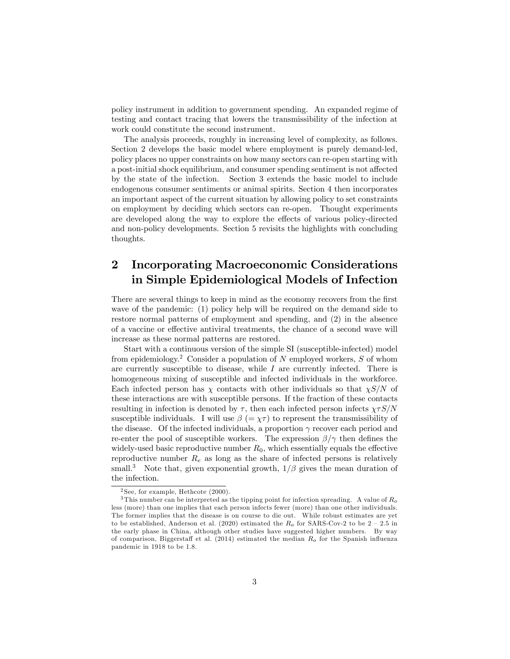policy instrument in addition to government spending. An expanded regime of testing and contact tracing that lowers the transmissibility of the infection at work could constitute the second instrument.

The analysis proceeds, roughly in increasing level of complexity, as follows. Section 2 develops the basic model where employment is purely demand-led, policy places no upper constraints on how many sectors can re-open starting with a post-initial shock equilibrium, and consumer spending sentiment is not affected by the state of the infection. Section 3 extends the basic model to include endogenous consumer sentiments or animal spirits. Section 4 then incorporates an important aspect of the current situation by allowing policy to set constraints on employment by deciding which sectors can re-open. Thought experiments are developed along the way to explore the effects of various policy-directed and non-policy developments. Section 5 revisits the highlights with concluding thoughts.

## 2 Incorporating Macroeconomic Considerations in Simple Epidemiological Models of Infection

There are several things to keep in mind as the economy recovers from the first wave of the pandemic: (1) policy help will be required on the demand side to restore normal patterns of employment and spending, and (2) in the absence of a vaccine or effective antiviral treatments, the chance of a second wave will increase as these normal patterns are restored.

Start with a continuous version of the simple SI (susceptible-infected) model from epidemiology.<sup>2</sup> Consider a population of N employed workers, S of whom are currently susceptible to disease, while  $I$  are currently infected. There is homogeneous mixing of susceptible and infected individuals in the workforce. Each infected person has  $\chi$  contacts with other individuals so that  $\chi S/N$  of these interactions are with susceptible persons. If the fraction of these contacts resulting in infection is denoted by  $\tau$ , then each infected person infects  $\chi \tau S/N$ susceptible individuals. I will use  $\beta$  (=  $\chi \tau$ ) to represent the transmissibility of the disease. Of the infected individuals, a proportion  $\gamma$  recover each period and re-enter the pool of susceptible workers. The expression  $\beta/\gamma$  then defines the widely-used basic reproductive number  $R_0$ , which essentially equals the effective reproductive number  $R_e$  as long as the share of infected persons is relatively small.<sup>3</sup> Note that, given exponential growth,  $1/\beta$  gives the mean duration of the infection.

 $2$ See, for example, Hethcote  $(2000)$ .

<sup>&</sup>lt;sup>3</sup>This number can be interpreted as the tipping point for infection spreading. A value of  $R_o$ less (more) than one implies that each person infects fewer (more) than one other individuals. The former implies that the disease is on course to die out. While robust estimates are yet to be established, Anderson et al. (2020) estimated the  $R_o$  for SARS-Cov-2 to be  $2 - 2.5$  in the early phase in China, although other studies have suggested higher numbers. By way of comparison, Biggerstaff et al. (2014) estimated the median  $R_o$  for the Spanish influenza pandemic in 1918 to be 1.8.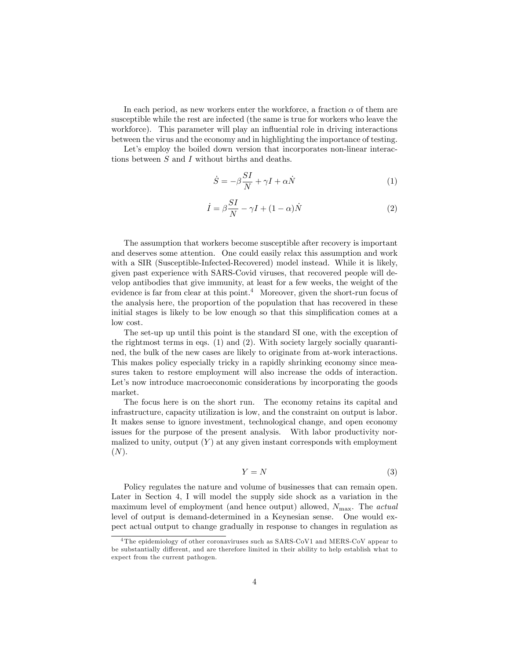In each period, as new workers enter the workforce, a fraction  $\alpha$  of them are susceptible while the rest are infected (the same is true for workers who leave the workforce). This parameter will play an influential role in driving interactions between the virus and the economy and in highlighting the importance of testing.

Let's employ the boiled down version that incorporates non-linear interactions between S and I without births and deaths.

$$
\dot{S} = -\beta \frac{SI}{N} + \gamma I + \alpha \dot{N} \tag{1}
$$

$$
\dot{I} = \beta \frac{SI}{N} - \gamma I + (1 - \alpha)\dot{N}
$$
 (2)

The assumption that workers become susceptible after recovery is important and deserves some attention. One could easily relax this assumption and work with a SIR (Susceptible-Infected-Recovered) model instead. While it is likely, given past experience with SARS-Covid viruses, that recovered people will develop antibodies that give immunity, at least for a few weeks, the weight of the evidence is far from clear at this point.<sup>4</sup> Moreover, given the short-run focus of the analysis here, the proportion of the population that has recovered in these initial stages is likely to be low enough so that this simplification comes at a low cost.

The set-up up until this point is the standard SI one, with the exception of the rightmost terms in eqs.  $(1)$  and  $(2)$ . With society largely socially quarantined, the bulk of the new cases are likely to originate from at-work interactions. This makes policy especially tricky in a rapidly shrinking economy since measures taken to restore employment will also increase the odds of interaction. Let's now introduce macroeconomic considerations by incorporating the goods market.

The focus here is on the short run. The economy retains its capital and infrastructure, capacity utilization is low, and the constraint on output is labor. It makes sense to ignore investment, technological change, and open economy issues for the purpose of the present analysis. With labor productivity normalized to unity, output  $(Y)$  at any given instant corresponds with employment  $(N).$ 

$$
Y = N \tag{3}
$$

Policy regulates the nature and volume of businesses that can remain open. Later in Section 4, I will model the supply side shock as a variation in the maximum level of employment (and hence output) allowed,  $N_{\text{max}}$ . The *actual* level of output is demand-determined in a Keynesian sense. One would expect actual output to change gradually in response to changes in regulation as

<sup>&</sup>lt;sup>4</sup>The epidemiology of other coronaviruses such as SARS-CoV1 and MERS-CoV appear to be substantially different, and are therefore limited in their ability to help establish what to expect from the current pathogen.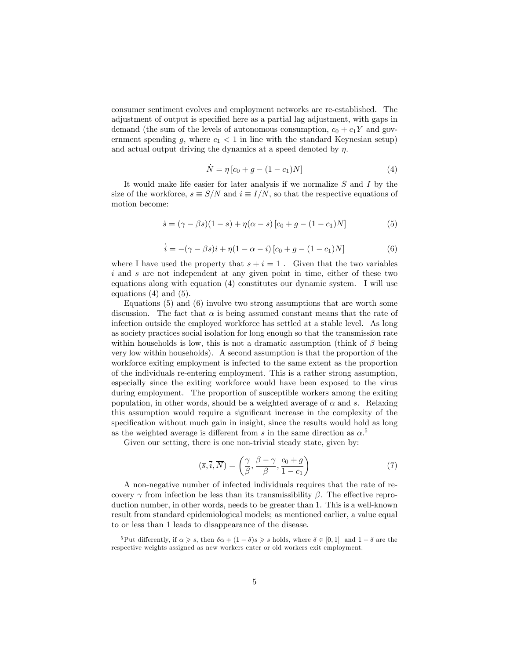consumer sentiment evolves and employment networks are re-established. The adjustment of output is specified here as a partial lag adjustment, with gaps in demand (the sum of the levels of autonomous consumption,  $c_0 + c_1 Y$  and government spending g, where  $c_1 < 1$  in line with the standard Keynesian setup) and actual output driving the dynamics at a speed denoted by  $\eta$ .

$$
\dot{N} = \eta \left[ c_0 + g - (1 - c_1)N \right]
$$
\n(4)

It would make life easier for later analysis if we normalize  $S$  and  $I$  by the size of the workforce,  $s \equiv S/N$  and  $i \equiv I/N$ , so that the respective equations of motion become:

$$
\dot{s} = (\gamma - \beta s)(1 - s) + \eta(\alpha - s)[c_0 + g - (1 - c_1)N]
$$
(5)

$$
\dot{i} = -(\gamma - \beta s)i + \eta (1 - \alpha - i) [c_0 + g - (1 - c_1)N]
$$
 (6)

where I have used the property that  $s + i = 1$ . Given that the two variables i and s are not independent at any given point in time, either of these two equations along with equation (4) constitutes our dynamic system. I will use equations (4) and (5).

Equations (5) and (6) involve two strong assumptions that are worth some discussion. The fact that  $\alpha$  is being assumed constant means that the rate of infection outside the employed workforce has settled at a stable level. As long as society practices social isolation for long enough so that the transmission rate within households is low, this is not a dramatic assumption (think of  $\beta$  being very low within households). A second assumption is that the proportion of the workforce exiting employment is infected to the same extent as the proportion of the individuals re-entering employment. This is a rather strong assumption, especially since the exiting workforce would have been exposed to the virus during employment. The proportion of susceptible workers among the exiting population, in other words, should be a weighted average of  $\alpha$  and s. Relaxing this assumption would require a significant increase in the complexity of the specification without much gain in insight, since the results would hold as long as the weighted average is different from s in the same direction as  $\alpha$ <sup>5</sup>

Given our setting, there is one non-trivial steady state, given by:

$$
(\overline{s}, \overline{i}, \overline{N}) = \left(\frac{\gamma}{\beta}, \frac{\beta - \gamma}{\beta}, \frac{c_0 + g}{1 - c_1}\right)
$$
\n(7)

A non-negative number of infected individuals requires that the rate of recovery  $\gamma$  from infection be less than its transmissibility  $\beta$ . The effective reproduction number, in other words, needs to be greater than 1. This is a well-known result from standard epidemiological models; as mentioned earlier, a value equal to or less than 1 leads to disappearance of the disease.

<sup>&</sup>lt;sup>5</sup>Put differently, if  $\alpha \geqslant s$ , then  $\delta \alpha + (1 - \delta)s \geqslant s$  holds, where  $\delta \in [0, 1]$  and  $1 - \delta$  are the respective weights assigned as new workers enter or old workers exit employment.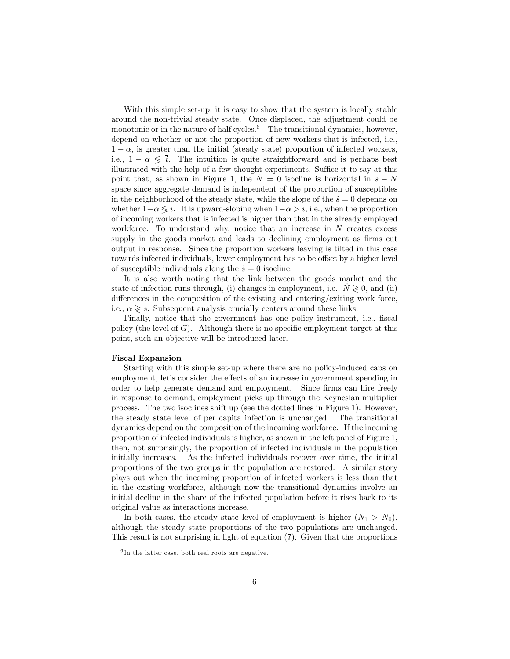With this simple set-up, it is easy to show that the system is locally stable around the non-trivial steady state. Once displaced, the adjustment could be monotonic or in the nature of half cycles.<sup>6</sup> The transitional dynamics, however, depend on whether or not the proportion of new workers that is infected, i.e.,  $1 - \alpha$ , is greater than the initial (steady state) proportion of infected workers, i.e.,  $1 - \alpha \leq \overline{i}$ . The intuition is quite straightforward and is perhaps best illustrated with the help of a few thought experiments. Suffice it to say at this point that, as shown in Figure 1, the  $\dot{N} = 0$  isocline is horizontal in  $s - N$ space since aggregate demand is independent of the proportion of susceptibles in the neighborhood of the steady state, while the slope of the  $\dot{s} = 0$  depends on whether  $1-\alpha \leq \overline{i}$ . It is upward-sloping when  $1-\alpha > \overline{i}$ , i.e., when the proportion of incoming workers that is infected is higher than that in the already employed workforce. To understand why, notice that an increase in  $N$  creates excess supply in the goods market and leads to declining employment as firms cut output in response. Since the proportion workers leaving is tilted in this case towards infected individuals, lower employment has to be offset by a higher level of susceptible individuals along the  $\dot{s} = 0$  isocline.

It is also worth noting that the link between the goods market and the state of infection runs through, (i) changes in employment, i.e.,  $N \geq 0$ , and (ii) differences in the composition of the existing and entering/exiting work force, i.e.,  $\alpha \geqslant s$ . Subsequent analysis crucially centers around these links.

Finally, notice that the government has one policy instrument, i.e., fiscal policy (the level of  $G$ ). Although there is no specific employment target at this point, such an objective will be introduced later.

#### Fiscal Expansion

Starting with this simple set-up where there are no policy-induced caps on employment, let's consider the effects of an increase in government spending in order to help generate demand and employment. Since firms can hire freely in response to demand, employment picks up through the Keynesian multiplier process. The two isoclines shift up (see the dotted lines in Figure 1). However, the steady state level of per capita infection is unchanged. The transitional dynamics depend on the composition of the incoming workforce. If the incoming proportion of infected individuals is higher, as shown in the left panel of Figure 1, then, not surprisingly, the proportion of infected individuals in the population initially increases. As the infected individuals recover over time, the initial proportions of the two groups in the population are restored. A similar story plays out when the incoming proportion of infected workers is less than that in the existing workforce, although now the transitional dynamics involve an initial decline in the share of the infected population before it rises back to its original value as interactions increase.

In both cases, the steady state level of employment is higher  $(N_1 > N_0)$ , although the steady state proportions of the two populations are unchanged. This result is not surprising in light of equation (7). Given that the proportions

<sup>&</sup>lt;sup>6</sup>In the latter case, both real roots are negative.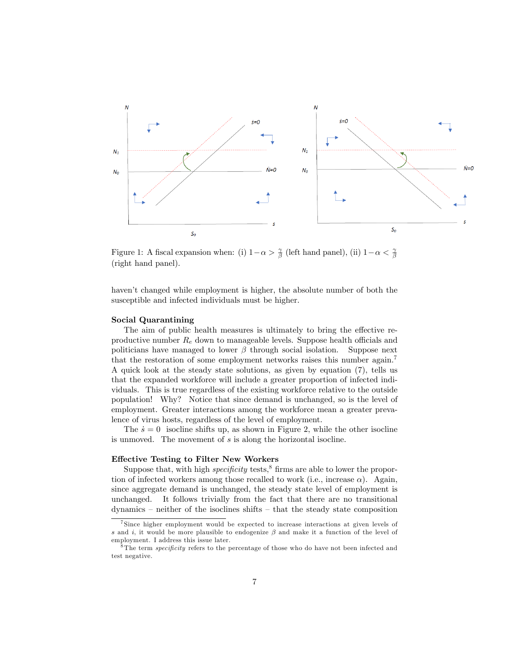

Figure 1: A fiscal expansion when: (i)  $1-\alpha > \frac{\gamma}{\beta}$  (left hand panel), (ii)  $1-\alpha < \frac{\gamma}{\beta}$ (right hand panel).

haven't changed while employment is higher, the absolute number of both the susceptible and infected individuals must be higher.

#### Social Quarantining

The aim of public health measures is ultimately to bring the effective reproductive number  $R_e$  down to manageable levels. Suppose health officials and politicians have managed to lower  $\beta$  through social isolation. Suppose next that the restoration of some employment networks raises this number again.<sup>7</sup> A quick look at the steady state solutions, as given by equation (7), tells us that the expanded workforce will include a greater proportion of infected individuals. This is true regardless of the existing workforce relative to the outside population! Why? Notice that since demand is unchanged, so is the level of employment. Greater interactions among the workforce mean a greater prevalence of virus hosts, regardless of the level of employment.

The  $\dot{s} = 0$  isocline shifts up, as shown in Figure 2, while the other isocline is unmoved. The movement of s is along the horizontal isocline.

#### Effective Testing to Filter New Workers

Suppose that, with high *specificity* tests,<sup>8</sup> firms are able to lower the proportion of infected workers among those recalled to work (i.e., increase  $\alpha$ ). Again, since aggregate demand is unchanged, the steady state level of employment is unchanged. It follows trivially from the fact that there are no transitional  $d$ ynamics – neither of the isoclines shifts – that the steady state composition

<sup>7</sup> Since higher employment would be expected to increase interactions at given levels of s and i, it would be more plausible to endogenize  $\beta$  and make it a function of the level of employment. I address this issue later.

 $8$ The term *specificity* refers to the percentage of those who do have not been infected and test negative.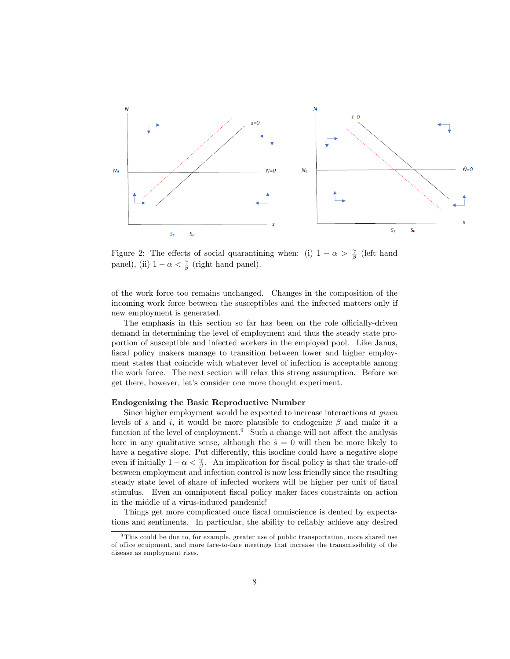

Figure 2: The effects of social quarantining when: (i)  $1 - \alpha > \frac{\gamma}{\beta}$  (left hand panel), (ii)  $1 - \alpha < \frac{\gamma}{\beta}$  (right hand panel).

of the work force too remains unchanged. Changes in the composition of the incoming work force between the susceptibles and the infected matters only if new employment is generated.

The emphasis in this section so far has been on the role officially-driven demand in determining the level of employment and thus the steady state proportion of susceptible and infected workers in the employed pool. Like Janus, fiscal policy makers manage to transition between lower and higher employment states that coincide with whatever level of infection is acceptable among the work force. The next section will relax this strong assumption. Before we get there, however, let's consider one more thought experiment.

#### Endogenizing the Basic Reproductive Number

Since higher employment would be expected to increase interactions at *given* levels of s and i, it would be more plausible to endogenize  $\beta$  and make it a function of the level of employment.<sup>9</sup> Such a change will not affect the analysis here in any qualitative sense, although the  $\dot{s} = 0$  will then be more likely to have a negative slope. Put differently, this isocline could have a negative slope even if initially  $1 - \alpha < \frac{\gamma}{\beta}$ . An implication for fiscal policy is that the trade-off between employment and infection control is now less friendly since the resulting steady state level of share of infected workers will be higher per unit of fiscal stimulus. Even an omnipotent Öscal policy maker faces constraints on action in the middle of a virus-induced pandemic!

Things get more complicated once fiscal omniscience is dented by expectations and sentiments. In particular, the ability to reliably achieve any desired

<sup>9</sup> This could be due to, for example, greater use of public transportation, more shared use of office equipment, and more face-to-face meetings that increase the transmissibility of the disease as employment rises.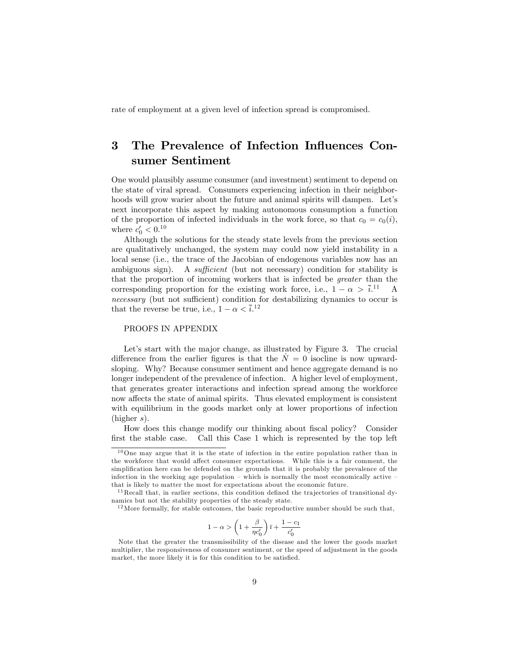rate of employment at a given level of infection spread is compromised.

### 3 The Prevalence of Infection Influences Consumer Sentiment

One would plausibly assume consumer (and investment) sentiment to depend on the state of viral spread. Consumers experiencing infection in their neighborhoods will grow warier about the future and animal spirits will dampen. Let's next incorporate this aspect by making autonomous consumption a function of the proportion of infected individuals in the work force, so that  $c_0 = c_0(i)$ , where  $c'_0 < 0.10$ 

Although the solutions for the steady state levels from the previous section are qualitatively unchanged, the system may could now yield instability in a local sense (i.e., the trace of the Jacobian of endogenous variables now has an ambiguous sign). A sufficient (but not necessary) condition for stability is that the proportion of incoming workers that is infected be greater than the corresponding proportion for the existing work force, i.e.,  $1 - \alpha > \overline{i}$ .<sup>11</sup> A necessary (but not sufficient) condition for destabilizing dynamics to occur is that the reverse be true, i.e.,  $1 - \alpha < \bar{i}$ .<sup>12</sup>

#### PROOFS IN APPENDIX

Let's start with the major change, as illustrated by Figure 3. The crucial difference from the earlier figures is that the  $\dot{N} = 0$  isocline is now upwardsloping. Why? Because consumer sentiment and hence aggregate demand is no longer independent of the prevalence of infection. A higher level of employment, that generates greater interactions and infection spread among the workforce now affects the state of animal spirits. Thus elevated employment is consistent with equilibrium in the goods market only at lower proportions of infection (higher s).

How does this change modify our thinking about Öscal policy? Consider first the stable case. Call this Case 1 which is represented by the top left

$$
1-\alpha > \left(1+\frac{\beta}{\eta c_0'}\right)\overline{\imath} + \frac{1-c_1}{c_0'}
$$

<sup>10</sup>One may argue that it is the state of infection in the entire population rather than in the workforce that would affect consumer expectations. While this is a fair comment, the simplification here can be defended on the grounds that it is probably the prevalence of the infection in the working age population  $\overline{\phantom{a}}$  – which is normally the most economically active that is likely to matter the most for expectations about the economic future.

 $11$  Recall that, in earlier sections, this condition defined the trajectories of transitional dynamics but not the stability properties of the steady state.

 $12$  More formally, for stable outcomes, the basic reproductive number should be such that,

Note that the greater the transmissibility of the disease and the lower the goods market multiplier, the responsiveness of consumer sentiment, or the speed of adjustment in the goods market, the more likely it is for this condition to be satisfied.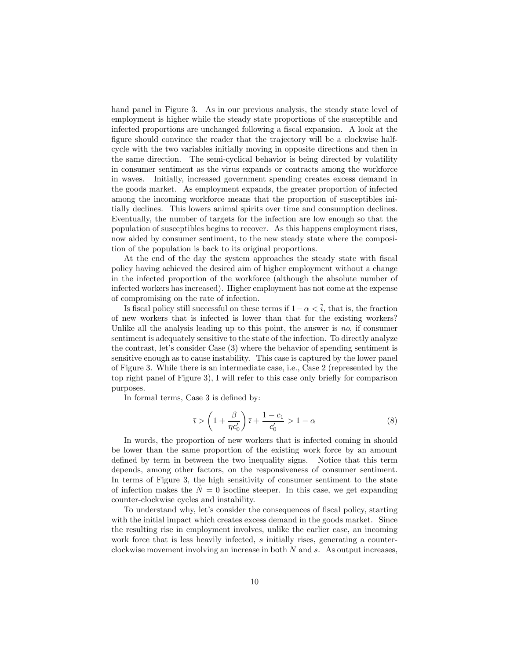hand panel in Figure 3. As in our previous analysis, the steady state level of employment is higher while the steady state proportions of the susceptible and infected proportions are unchanged following a fiscal expansion. A look at the figure should convince the reader that the trajectory will be a clockwise halfcycle with the two variables initially moving in opposite directions and then in the same direction. The semi-cyclical behavior is being directed by volatility in consumer sentiment as the virus expands or contracts among the workforce in waves. Initially, increased government spending creates excess demand in the goods market. As employment expands, the greater proportion of infected among the incoming workforce means that the proportion of susceptibles initially declines. This lowers animal spirits over time and consumption declines. Eventually, the number of targets for the infection are low enough so that the population of susceptibles begins to recover. As this happens employment rises, now aided by consumer sentiment, to the new steady state where the composition of the population is back to its original proportions.

At the end of the day the system approaches the steady state with fiscal policy having achieved the desired aim of higher employment without a change in the infected proportion of the workforce (although the absolute number of infected workers has increased). Higher employment has not come at the expense of compromising on the rate of infection.

Is fiscal policy still successful on these terms if  $1 - \alpha < \overline{i}$ , that is, the fraction of new workers that is infected is lower than that for the existing workers? Unlike all the analysis leading up to this point, the answer is  $no$ , if consumer sentiment is adequately sensitive to the state of the infection. To directly analyze the contrast, let's consider Case (3) where the behavior of spending sentiment is sensitive enough as to cause instability. This case is captured by the lower panel of Figure 3. While there is an intermediate case, i.e., Case 2 (represented by the top right panel of Figure 3), I will refer to this case only briefly for comparison purposes.

In formal terms, Case 3 is defined by:

$$
\bar{i} > \left(1 + \frac{\beta}{\eta c_0'}\right)\bar{i} + \frac{1 - c_1}{c_0'} > 1 - \alpha\tag{8}
$$

In words, the proportion of new workers that is infected coming in should be lower than the same proportion of the existing work force by an amount defined by term in between the two inequality signs. Notice that this term depends, among other factors, on the responsiveness of consumer sentiment. In terms of Figure 3, the high sensitivity of consumer sentiment to the state of infection makes the  $\dot{N} = 0$  isocline steeper. In this case, we get expanding counter-clockwise cycles and instability.

To understand why, let's consider the consequences of fiscal policy, starting with the initial impact which creates excess demand in the goods market. Since the resulting rise in employment involves, unlike the earlier case, an incoming work force that is less heavily infected, s initially rises, generating a counterclockwise movement involving an increase in both N and s. As output increases,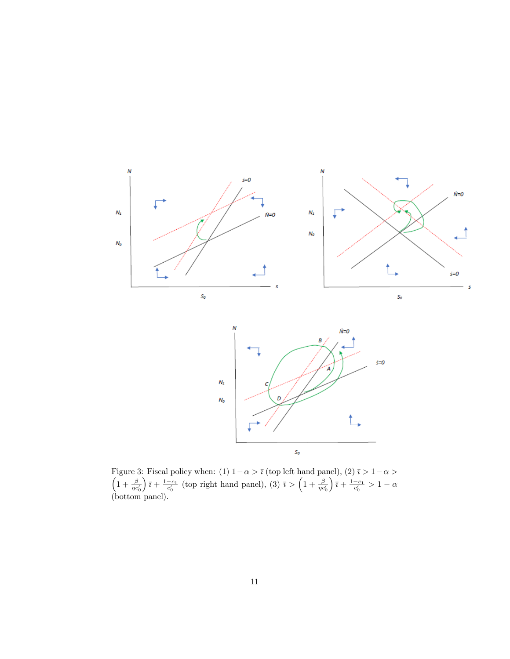

Figure 3: Fiscal policy when: (1)  $1 - \alpha > \bar{\imath}$  (top left hand panel), (2)  $\bar{\imath} > 1 - \alpha >$ <br>  $\left(1 + \frac{\beta}{\eta c'_0}\right)\bar{\imath} + \frac{1 - c_1}{c'_0}$  (top right hand panel), (3)  $\bar{\imath} > \left(1 + \frac{\beta}{\eta c'_0}\right)\bar{\imath} + \frac{1 - c_1}{c'_0} > 1 - \alpha$  $\left(\frac{1}{c_0}\right)\bar{i} + \frac{1-c_1}{c_0'}$  (top right hand panel), (3)  $\bar{i} > \left(1 + \frac{\beta}{\eta c_0'}\right)$  $\frac{1-c_1}{c'_0} > 1-\alpha$ (bottom panel).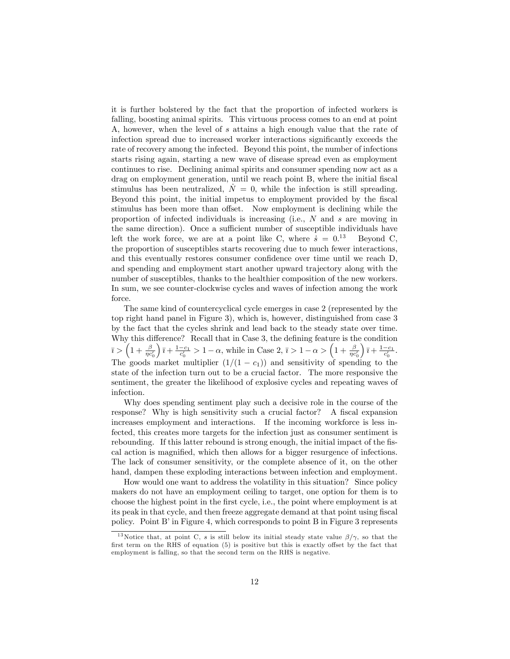it is further bolstered by the fact that the proportion of infected workers is falling, boosting animal spirits. This virtuous process comes to an end at point A, however, when the level of s attains a high enough value that the rate of infection spread due to increased worker interactions significantly exceeds the rate of recovery among the infected. Beyond this point, the number of infections starts rising again, starting a new wave of disease spread even as employment continues to rise. Declining animal spirits and consumer spending now act as a drag on employment generation, until we reach point B, where the initial fiscal stimulus has been neutralized,  $\dot{N} = 0$ , while the infection is still spreading. Beyond this point, the initial impetus to employment provided by the fiscal stimulus has been more than offset. Now employment is declining while the proportion of infected individuals is increasing (i.e., N and s are moving in the same direction). Once a sufficient number of susceptible individuals have left the work force, we are at a point like C, where  $\dot{s} = 0.13$ Beyond C, the proportion of susceptibles starts recovering due to much fewer interactions, and this eventually restores consumer confidence over time until we reach D, and spending and employment start another upward trajectory along with the number of susceptibles, thanks to the healthier composition of the new workers. In sum, we see counter-clockwise cycles and waves of infection among the work force.

The same kind of countercyclical cycle emerges in case 2 (represented by the top right hand panel in Figure 3), which is, however, distinguished from case 3 by the fact that the cycles shrink and lead back to the steady state over time. Why this difference? Recall that in Case 3, the defining feature is the condition  $\bar{i} > (1 + \frac{\beta}{\eta c'_0})$  $\left(\frac{\overline{a}}{1 + \frac{1-c_1}{c'_0}} > 1 - \alpha, \right)$  while in Case 2,  $\overline{i} > 1 - \alpha > \left(1 + \frac{\beta}{\eta c'_0}\right)$  $\frac{1-c_1}{c'_0}.$ The goods market multiplier  $(1/(1 - c_1))$  and sensitivity of spending to the state of the infection turn out to be a crucial factor. The more responsive the sentiment, the greater the likelihood of explosive cycles and repeating waves of infection.

Why does spending sentiment play such a decisive role in the course of the response? Why is high sensitivity such a crucial factor? A fiscal expansion increases employment and interactions. If the incoming workforce is less infected, this creates more targets for the infection just as consumer sentiment is rebounding. If this latter rebound is strong enough, the initial impact of the fiscal action is magnified, which then allows for a bigger resurgence of infections. The lack of consumer sensitivity, or the complete absence of it, on the other hand, dampen these exploding interactions between infection and employment.

How would one want to address the volatility in this situation? Since policy makers do not have an employment ceiling to target, one option for them is to choose the highest point in the Örst cycle, i.e., the point where employment is at its peak in that cycle, and then freeze aggregate demand at that point using fiscal policy. Point B' in Figure 4, which corresponds to point B in Figure 3 represents

<sup>&</sup>lt;sup>13</sup>Notice that, at point C, s is still below its initial steady state value  $\beta/\gamma$ , so that the first term on the RHS of equation  $(5)$  is positive but this is exactly offset by the fact that employment is falling, so that the second term on the RHS is negative.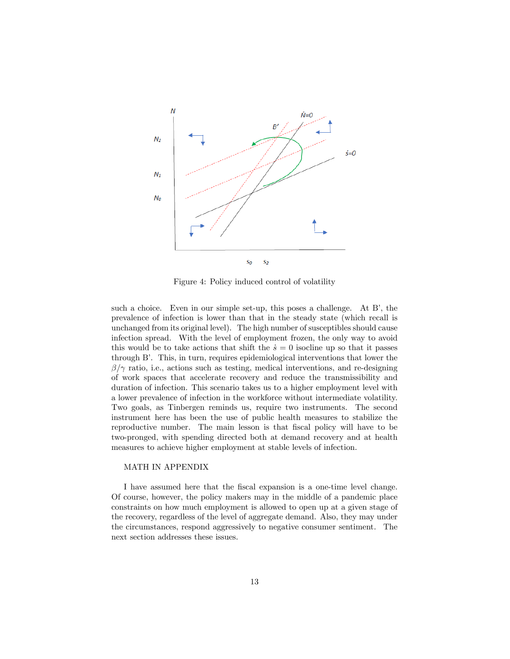

Figure 4: Policy induced control of volatility

such a choice. Even in our simple set-up, this poses a challenge. At  $B'$ , the prevalence of infection is lower than that in the steady state (which recall is unchanged from its original level). The high number of susceptibles should cause infection spread. With the level of employment frozen, the only way to avoid this would be to take actions that shift the  $\dot{s} = 0$  isocline up so that it passes through Bí. This, in turn, requires epidemiological interventions that lower the  $\beta/\gamma$  ratio, i.e., actions such as testing, medical interventions, and re-designing of work spaces that accelerate recovery and reduce the transmissibility and duration of infection. This scenario takes us to a higher employment level with a lower prevalence of infection in the workforce without intermediate volatility. Two goals, as Tinbergen reminds us, require two instruments. The second instrument here has been the use of public health measures to stabilize the reproductive number. The main lesson is that fiscal policy will have to be two-pronged, with spending directed both at demand recovery and at health measures to achieve higher employment at stable levels of infection.

#### MATH IN APPENDIX

I have assumed here that the Öscal expansion is a one-time level change. Of course, however, the policy makers may in the middle of a pandemic place constraints on how much employment is allowed to open up at a given stage of the recovery, regardless of the level of aggregate demand. Also, they may under the circumstances, respond aggressively to negative consumer sentiment. The next section addresses these issues.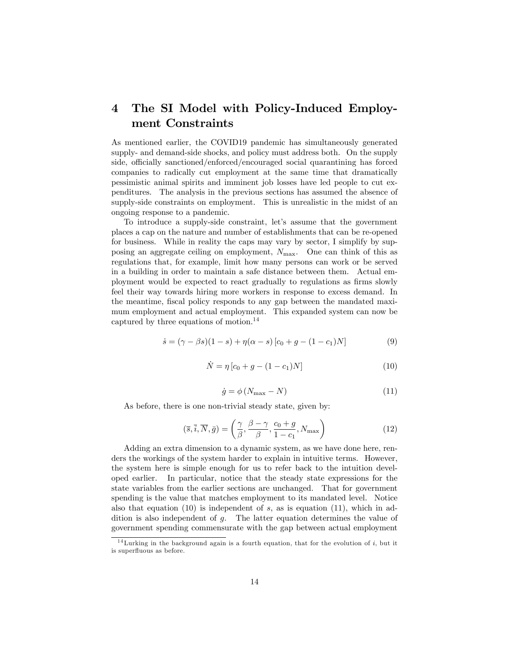## 4 The SI Model with Policy-Induced Employment Constraints

As mentioned earlier, the COVID19 pandemic has simultaneously generated supply- and demand-side shocks, and policy must address both. On the supply side, officially sanctioned/enforced/encouraged social quarantining has forced companies to radically cut employment at the same time that dramatically pessimistic animal spirits and imminent job losses have led people to cut expenditures. The analysis in the previous sections has assumed the absence of supply-side constraints on employment. This is unrealistic in the midst of an ongoing response to a pandemic.

To introduce a supply-side constraint, let's assume that the government places a cap on the nature and number of establishments that can be re-opened for business. While in reality the caps may vary by sector, I simplify by supposing an aggregate ceiling on employment,  $N_{\text{max}}$ . One can think of this as regulations that, for example, limit how many persons can work or be served in a building in order to maintain a safe distance between them. Actual employment would be expected to react gradually to regulations as firms slowly feel their way towards hiring more workers in response to excess demand. In the meantime, fiscal policy responds to any gap between the mandated maximum employment and actual employment. This expanded system can now be captured by three equations of motion.<sup>14</sup>

$$
\dot{s} = (\gamma - \beta s)(1 - s) + \eta(\alpha - s)[c_0 + g - (1 - c_1)N]
$$
\n(9)

$$
\dot{N} = \eta \left[ c_0 + g - (1 - c_1)N \right] \tag{10}
$$

$$
\dot{g} = \phi \left( N_{\text{max}} - N \right) \tag{11}
$$

As before, there is one non-trivial steady state, given by:

$$
(\overline{s}, \overline{i}, \overline{N}, \overline{g}) = \left(\frac{\gamma}{\beta}, \frac{\beta - \gamma}{\beta}, \frac{c_0 + g}{1 - c_1}, N_{\text{max}}\right)
$$
(12)

Adding an extra dimension to a dynamic system, as we have done here, renders the workings of the system harder to explain in intuitive terms. However, the system here is simple enough for us to refer back to the intuition developed earlier. In particular, notice that the steady state expressions for the state variables from the earlier sections are unchanged. That for government spending is the value that matches employment to its mandated level. Notice also that equation  $(10)$  is independent of s, as is equation  $(11)$ , which in addition is also independent of g. The latter equation determines the value of government spending commensurate with the gap between actual employment

<sup>&</sup>lt;sup>14</sup> Lurking in the background again is a fourth equation, that for the evolution of  $i$ , but it is superfluous as before.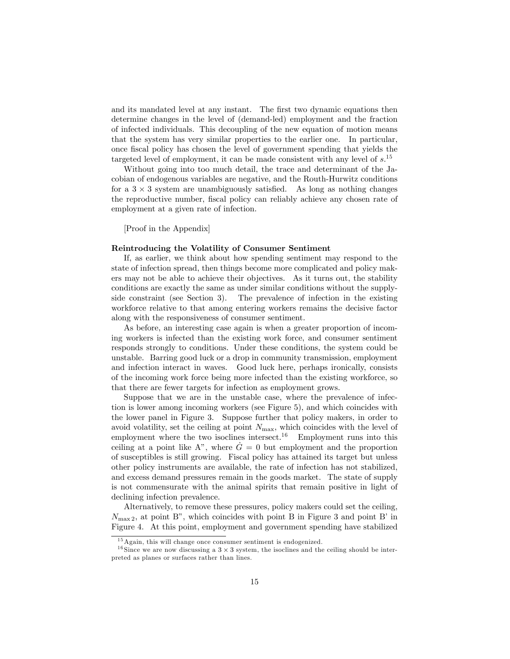and its mandated level at any instant. The first two dynamic equations then determine changes in the level of (demand-led) employment and the fraction of infected individuals. This decoupling of the new equation of motion means that the system has very similar properties to the earlier one. In particular, once Öscal policy has chosen the level of government spending that yields the targeted level of employment, it can be made consistent with any level of  $s$ <sup>15</sup>

Without going into too much detail, the trace and determinant of the Jacobian of endogenous variables are negative, and the Routh-Hurwitz conditions for a  $3 \times 3$  system are unambiguously satisfied. As long as nothing changes the reproductive number, Öscal policy can reliably achieve any chosen rate of employment at a given rate of infection.

[Proof in the Appendix]

#### Reintroducing the Volatility of Consumer Sentiment

If, as earlier, we think about how spending sentiment may respond to the state of infection spread, then things become more complicated and policy makers may not be able to achieve their objectives. As it turns out, the stability conditions are exactly the same as under similar conditions without the supplyside constraint (see Section 3). The prevalence of infection in the existing workforce relative to that among entering workers remains the decisive factor along with the responsiveness of consumer sentiment.

As before, an interesting case again is when a greater proportion of incoming workers is infected than the existing work force, and consumer sentiment responds strongly to conditions. Under these conditions, the system could be unstable. Barring good luck or a drop in community transmission, employment and infection interact in waves. Good luck here, perhaps ironically, consists of the incoming work force being more infected than the existing workforce, so that there are fewer targets for infection as employment grows.

Suppose that we are in the unstable case, where the prevalence of infection is lower among incoming workers (see Figure 5), and which coincides with the lower panel in Figure 3. Suppose further that policy makers, in order to avoid volatility, set the ceiling at point  $N_{\text{max}}$ , which coincides with the level of employment where the two isoclines intersect.<sup>16</sup> Employment runs into this ceiling at a point like A<sup>n</sup>, where  $\dot{G} = 0$  but employment and the proportion of susceptibles is still growing. Fiscal policy has attained its target but unless other policy instruments are available, the rate of infection has not stabilized, and excess demand pressures remain in the goods market. The state of supply is not commensurate with the animal spirits that remain positive in light of declining infection prevalence.

Alternatively, to remove these pressures, policy makers could set the ceiling,  $N_{\text{max }2}$ , at point B", which coincides with point B in Figure 3 and point B' in Figure 4. At this point, employment and government spending have stabilized

<sup>15</sup>Again, this will change once consumer sentiment is endogenized.

<sup>&</sup>lt;sup>16</sup> Since we are now discussing a  $3 \times 3$  system, the isoclines and the ceiling should be interpreted as planes or surfaces rather than lines.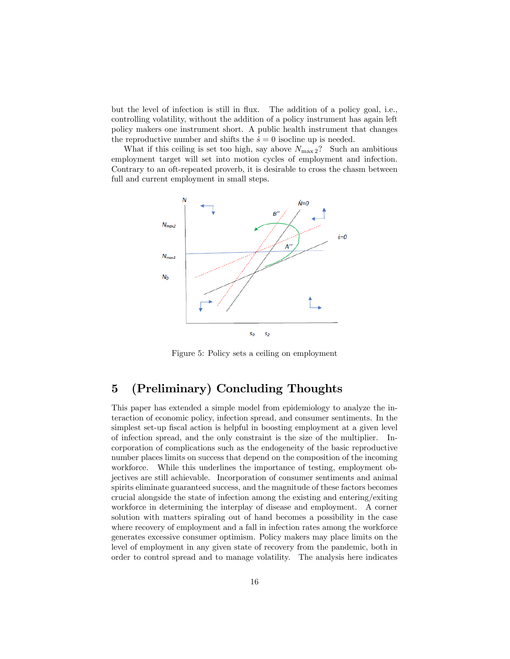but the level of infection is still in flux. The addition of a policy goal, i.e., controlling volatility, without the addition of a policy instrument has again left policy makers one instrument short. A public health instrument that changes the reproductive number and shifts the  $\dot{s} = 0$  isocline up is needed.

What if this ceiling is set too high, say above  $N_{\text{max }2}$ ? Such an ambitious employment target will set into motion cycles of employment and infection. Contrary to an oft-repeated proverb, it is desirable to cross the chasm between full and current employment in small steps.



Figure 5: Policy sets a ceiling on employment

### 5 (Preliminary) Concluding Thoughts

This paper has extended a simple model from epidemiology to analyze the interaction of economic policy, infection spread, and consumer sentiments. In the simplest set-up fiscal action is helpful in boosting employment at a given level of infection spread, and the only constraint is the size of the multiplier. Incorporation of complications such as the endogeneity of the basic reproductive number places limits on success that depend on the composition of the incoming workforce. While this underlines the importance of testing, employment objectives are still achievable. Incorporation of consumer sentiments and animal spirits eliminate guaranteed success, and the magnitude of these factors becomes crucial alongside the state of infection among the existing and entering/exiting workforce in determining the interplay of disease and employment. A corner solution with matters spiraling out of hand becomes a possibility in the case where recovery of employment and a fall in infection rates among the workforce generates excessive consumer optimism. Policy makers may place limits on the level of employment in any given state of recovery from the pandemic, both in order to control spread and to manage volatility. The analysis here indicates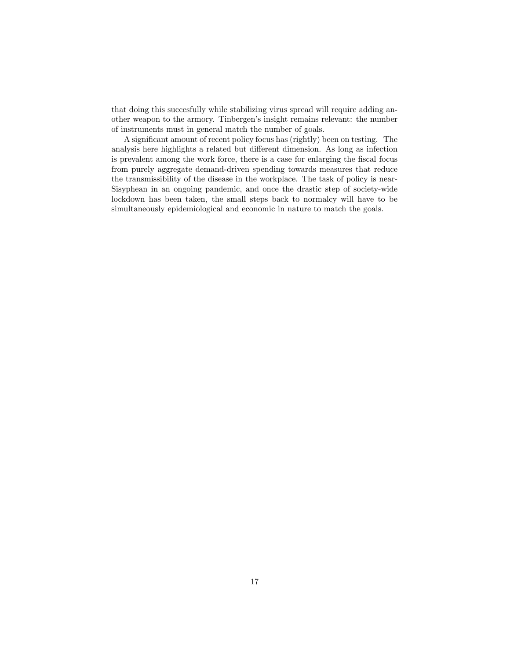that doing this succesfully while stabilizing virus spread will require adding another weapon to the armory. Tinbergen's insight remains relevant: the number of instruments must in general match the number of goals.

A significant amount of recent policy focus has (rightly) been on testing. The analysis here highlights a related but different dimension. As long as infection is prevalent among the work force, there is a case for enlarging the fiscal focus from purely aggregate demand-driven spending towards measures that reduce the transmissibility of the disease in the workplace. The task of policy is near-Sisyphean in an ongoing pandemic, and once the drastic step of society-wide lockdown has been taken, the small steps back to normalcy will have to be simultaneously epidemiological and economic in nature to match the goals.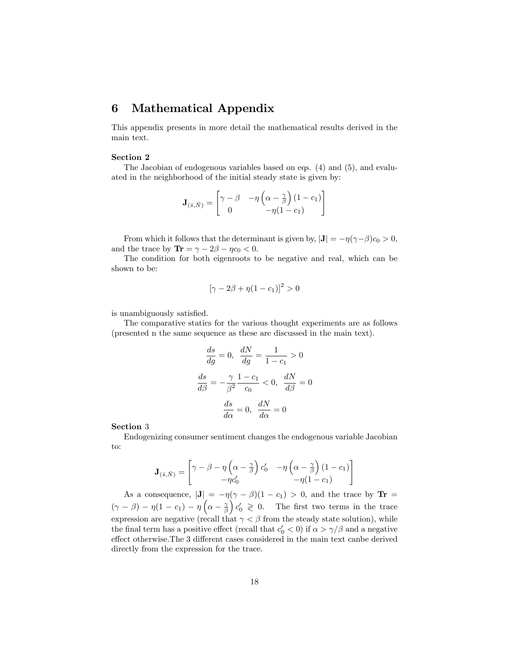### 6 Mathematical Appendix

This appendix presents in more detail the mathematical results derived in the main text.

#### Section 2

The Jacobian of endogenous variables based on eqs. (4) and (5), and evaluated in the neighborhood of the initial steady state is given by:

$$
\mathbf{J}_{(\bar{s},\bar{N})} = \begin{bmatrix} \gamma - \beta & -\eta \left( \alpha - \frac{\gamma}{\beta} \right) (1 - c_1) \\ 0 & -\eta (1 - c_1) \end{bmatrix}
$$

From which it follows that the determinant is given by,  $|\mathbf{J}| = -\eta(\gamma - \beta)c_0 > 0$ , and the trace by  $\text{Tr} = \gamma - 2\beta - \eta c_0 < 0$ .

The condition for both eigenroots to be negative and real, which can be shown to be:

$$
[\gamma - 2\beta + \eta(1 - c_1)]^2 > 0
$$

is unambiguously satisfied.

The comparative statics for the various thought experiments are as follows (presented n the same sequence as these are discussed in the main text).

$$
\frac{ds}{dg} = 0, \quad \frac{dN}{dg} = \frac{1}{1 - c_1} > 0
$$

$$
\frac{ds}{d\beta} = -\frac{\gamma}{\beta^2} \frac{1 - c_1}{c_0} < 0, \quad \frac{dN}{d\beta} = 0
$$

$$
\frac{ds}{d\alpha} = 0, \quad \frac{dN}{d\alpha} = 0
$$

Section 3

Endogenizing consumer sentiment changes the endogenous variable Jacobian to:

$$
\mathbf{J}_{(\bar{s},\bar{N})} = \begin{bmatrix} \gamma - \beta - \eta \left( \alpha - \frac{\gamma}{\beta} \right) c'_0 & -\eta \left( \alpha - \frac{\gamma}{\beta} \right) (1 - c_1) \\ -\eta c'_0 & -\eta (1 - c_1) \end{bmatrix}
$$

As a consequence,  $|\mathbf{J}| = -\eta(\gamma - \beta)(1 - c_1) > 0$ , and the trace by  $\mathbf{Tr} =$  $(\gamma - \beta) - \eta(1 - c_1) - \eta\left(\alpha - \frac{\gamma}{\beta}\right)$  $c_0 \geq 0$ . The first two terms in the trace expression are negative (recall that  $\gamma < \beta$  from the steady state solution), while the final term has a positive effect (recall that  $c'_0 < 0$ ) if  $\alpha > \gamma/\beta$  and a negative effect otherwise. The 3 different cases considered in the main text canbe derived directly from the expression for the trace.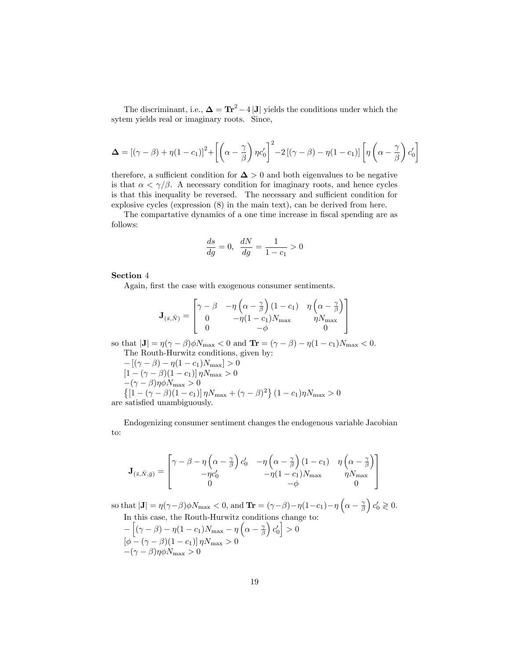The discriminant, i.e.,  $\Delta = \text{Tr}^2 - 4|\mathbf{J}|$  yields the conditions under which the sytem yields real or imaginary roots. Since,

$$
\Delta = \left[ (\gamma - \beta) + \eta (1 - c_1) \right]^2 + \left[ \left( \alpha - \frac{\gamma}{\beta} \right) \eta c_0' \right]^2 - 2 \left[ (\gamma - \beta) - \eta (1 - c_1) \right] \left[ \eta \left( \alpha - \frac{\gamma}{\beta} \right) c_0' \right]
$$

therefore, a sufficient condition for  $\Delta > 0$  and both eigenvalues to be negative is that  $\alpha < \gamma/\beta$ . A necessary condition for imaginary roots, and hence cycles is that this inequality be reversed. The necessary and sufficient condition for explosive cycles (expression (8) in the main text), can be derived from here.

The compartative dynamics of a one time increase in fiscal spending are as follows:

$$
\frac{ds}{dg} = 0, \ \frac{dN}{dg} = \frac{1}{1 - c_1} > 0
$$

Section 4

Again, first the case with exogenous consumer sentiments.

$$
\mathbf{J}_{(\bar{s},\bar{N})} = \begin{bmatrix} \gamma - \beta & -\eta \left( \alpha - \frac{\gamma}{\beta} \right) (1 - c_1) & \eta \left( \alpha - \frac{\gamma}{\beta} \right) \\ 0 & -\eta (1 - c_1) N_{\text{max}} & \eta N_{\text{max}} \\ 0 & -\phi & 0 \end{bmatrix}
$$

so that  $|\mathbf{J}| = \eta(\gamma - \beta)\phi N_{\text{max}} < 0$  and  $\mathbf{Tr} = (\gamma - \beta) - \eta(1 - c_1)N_{\text{max}} < 0$ . The Routh-Hurwitz conditions, given by:

$$
-[(\gamma - \beta) - \eta(1 - c_1)N_{\text{max}}] > 0
$$
  
\n
$$
[1 - (\gamma - \beta)(1 - c_1)]\eta N_{\text{max}} > 0
$$
  
\n
$$
-(\gamma - \beta)\eta \phi N_{\text{max}} > 0
$$
  
\n
$$
\{[1 - (\gamma - \beta)(1 - c_1)]\eta N_{\text{max}} + (\gamma - \beta)^2\} (1 - c_1)\eta N_{\text{max}} > 0
$$
  
\nare satisfied unambiguously.

Endogenizing consumer sentiment changes the endogenous variable Jacobian to:

$$
\mathbf{J}_{(\bar{s},\bar{N},\bar{g})} = \begin{bmatrix} \gamma - \beta - \eta \left( \alpha - \frac{\gamma}{\beta} \right) c_0' & -\eta \left( \alpha - \frac{\gamma}{\beta} \right) (1 - c_1) & \eta \left( \alpha - \frac{\gamma}{\beta} \right) \\ -\eta c_0' & -\eta (1 - c_1) N_{\text{max}} & \eta N_{\text{max}} \\ 0 & -\phi & 0 \end{bmatrix}
$$

so that  $|\mathbf{J}| = \eta(\gamma - \beta)\phi N_{\max} < 0$ , and  $\mathbf{Tr} = (\gamma - \beta) - \eta(1 - c_1) - \eta\left(\alpha - \frac{\gamma}{\beta}\right)$  $c'_0 \geqslant 0.$ In this case, the Routh-Hurwitz conditions change to:

$$
- \left[ (\gamma - \beta) - \eta (1 - c_1) N_{\text{max}} - \eta \left( \alpha - \frac{\gamma}{\beta} \right) c'_0 \right] > 0
$$
  

$$
[\phi - (\gamma - \beta)(1 - c_1)] \eta N_{\text{max}} > 0
$$
  

$$
-(\gamma - \beta) \eta \phi N_{\text{max}} > 0
$$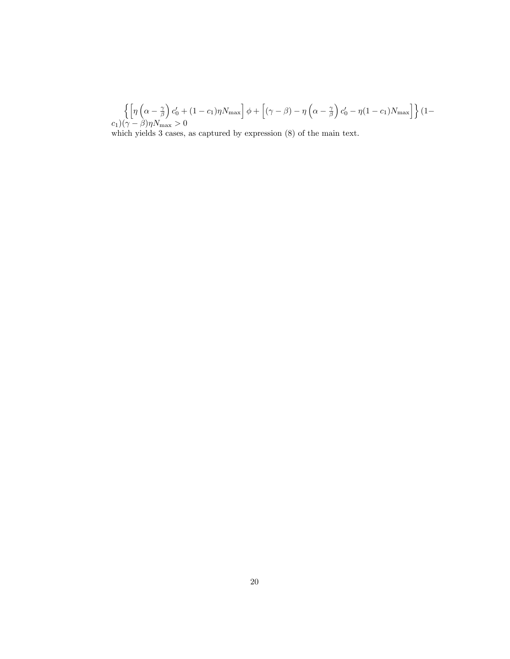$$
\left\{ \left[ \eta \left( \alpha - \frac{\gamma}{\beta} \right) c'_0 + (1 - c_1) \eta N_{\text{max}} \right] \phi + \left[ (\gamma - \beta) - \eta \left( \alpha - \frac{\gamma}{\beta} \right) c'_0 - \eta (1 - c_1) N_{\text{max}} \right] \right\} (1 - c_1) (\gamma - \beta) \eta N_{\text{max}} > 0
$$

which yields 3 cases, as captured by expression (8) of the main text.